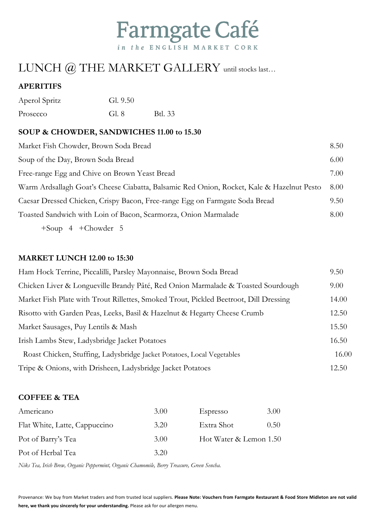

## LUNCH @ THE MARKET GALLERY until stocks last...

### **APERITIFS**

| Aperol Spritz | Gl. 9.50 |         |
|---------------|----------|---------|
| Prosecco      | Gl. 8    | Btl. 33 |

#### **SOUP & CHOWDER, SANDWICHES 11.00 to 15.30**

| Market Fish Chowder, Brown Soda Bread                                                     | 8.50 |
|-------------------------------------------------------------------------------------------|------|
| Soup of the Day, Brown Soda Bread                                                         | 6.00 |
| Free-range Egg and Chive on Brown Yeast Bread                                             | 7.00 |
| Warm Ardsallagh Goat's Cheese Ciabatta, Balsamic Red Onion, Rocket, Kale & Hazelnut Pesto | 8.00 |
| Caesar Dressed Chicken, Crispy Bacon, Free-range Egg on Farmgate Soda Bread               | 9.50 |
| Toasted Sandwich with Loin of Bacon, Scarmorza, Onion Marmalade                           | 8.00 |
| $+$ Soup 4 + Chowder 5                                                                    |      |

#### **MARKET LUNCH 12.00 to 15:30**

| Ham Hock Terrine, Piccalilli, Parsley Mayonnaise, Brown Soda Bread                    | 9.50  |
|---------------------------------------------------------------------------------------|-------|
| Chicken Liver & Longueville Brandy Pâté, Red Onion Marmalade & Toasted Sourdough      | 9.00  |
| Market Fish Plate with Trout Rillettes, Smoked Trout, Pickled Beetroot, Dill Dressing | 14.00 |
| Risotto with Garden Peas, Leeks, Basil & Hazelnut & Hegarty Cheese Crumb              | 12.50 |
| Market Sausages, Puy Lentils & Mash                                                   | 15.50 |
| Irish Lambs Stew, Ladysbridge Jacket Potatoes                                         | 16.50 |
| Roast Chicken, Stuffing, Ladysbridge Jacket Potatoes, Local Vegetables                | 16.00 |
| Tripe & Onions, with Drisheen, Ladysbridge Jacket Potatoes                            | 12.50 |

#### **COFFEE & TEA**

| Americano                     | 3.00 | Espresso               | 3.00           |
|-------------------------------|------|------------------------|----------------|
| Flat White, Latte, Cappuccino | 3.20 | Extra Shot             | $0.50^{\circ}$ |
| Pot of Barry's Tea            | 3.00 | Hot Water & Lemon 1.50 |                |
| Pot of Herbal Tea             | 3.20 |                        |                |

*Niks Tea, Irish Brew, Organic Peppermint, Organic Chamomile, Berry Treasure, Green Sencha.*